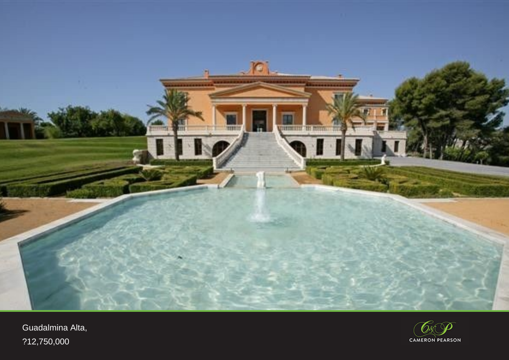





Guadalmina Alta, ?12,750,000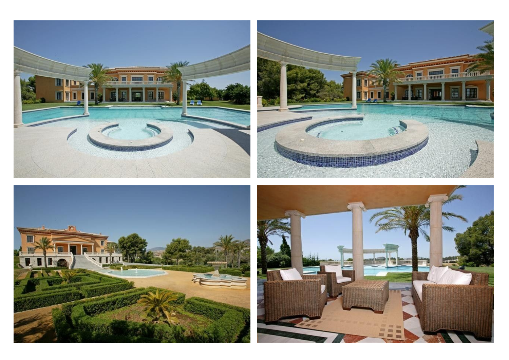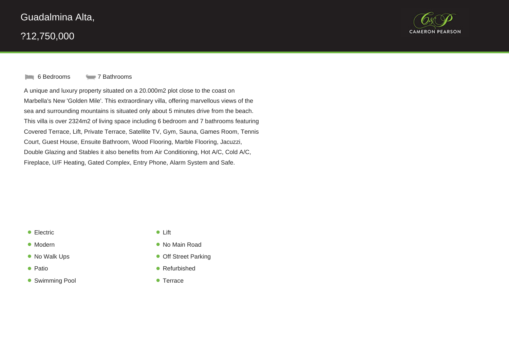

## ?12,750,000

## **6 Bedrooms** 7 Bathrooms

A unique and luxury property situated on a 20.000m2 plot close to the coast on Marbella's New 'Golden Mile'. This extraordinary villa, offering marvellous views of the sea and surrounding mountains is situated only about 5 minutes drive from the beach. This villa is over 2324m2 of living space including 6 bedroom and 7 bathrooms featuring Covered Terrace, Lift, Private Terrace, Satellite TV, Gym, Sauna, Games Room, Tennis Court, Guest House, Ensuite Bathroom, Wood Flooring, Marble Flooring, Jacuzzi, Double Glazing and Stables it also benefits from Air Conditioning, Hot A/C, Cold A/C, Fireplace, U/F Heating, Gated Complex, Entry Phone, Alarm System and Safe.

- Electric Lift
- $\bullet$  Modern  $\bullet$
- No Walk Ups
- $\bullet$  Patio
- Swimming Pool **Canadian Contract Contract Contract Contract Contract Contract Contract Contract Contract Contract Contract Contract Contract Contract Contract Contract Contract Contract Contract Contract Contract Contrac**
- 
- Modern No Main Road
	- **Off Street Parking**
- Patio Patio Refurbished
	-